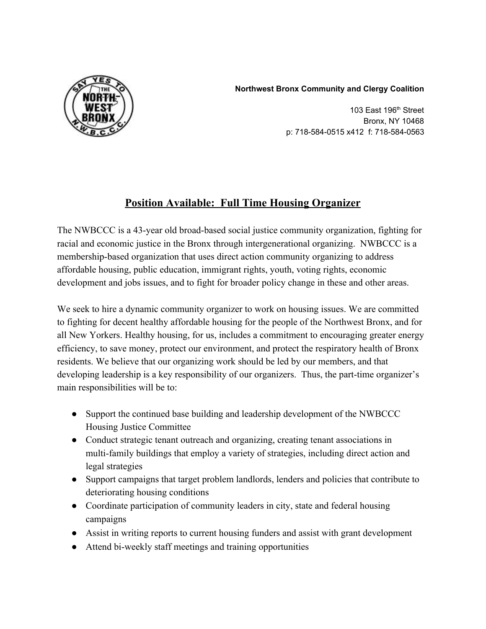## **Northwest Bronx Community and Clergy Coalition**



103 East 196 th Street Bronx, NY 10468 p: 718-584-0515 x412 f: 718-584-0563

## **Position Available: Full Time Housing Organizer**

The NWBCCC is a 43-year old broad-based social justice community organization, fighting for racial and economic justice in the Bronx through intergenerational organizing. NWBCCC is a membership-based organization that uses direct action community organizing to address affordable housing, public education, immigrant rights, youth, voting rights, economic development and jobs issues, and to fight for broader policy change in these and other areas.

We seek to hire a dynamic community organizer to work on housing issues. We are committed to fighting for decent healthy affordable housing for the people of the Northwest Bronx, and for all New Yorkers. Healthy housing, for us, includes a commitment to encouraging greater energy efficiency, to save money, protect our environment, and protect the respiratory health of Bronx residents. We believe that our organizing work should be led by our members, and that developing leadership is a key responsibility of our organizers. Thus, the part-time organizer's main responsibilities will be to:

- Support the continued base building and leadership development of the NWBCCC Housing Justice Committee
- Conduct strategic tenant outreach and organizing, creating tenant associations in multi-family buildings that employ a variety of strategies, including direct action and legal strategies
- Support campaigns that target problem landlords, lenders and policies that contribute to deteriorating housing conditions
- Coordinate participation of community leaders in city, state and federal housing campaigns
- Assist in writing reports to current housing funders and assist with grant development
- Attend bi-weekly staff meetings and training opportunities